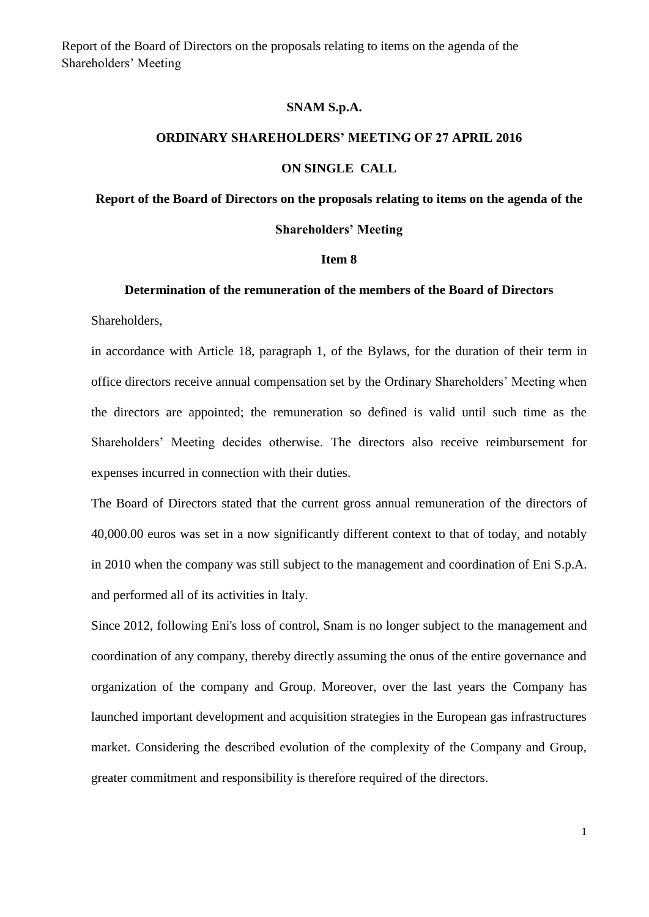Report of the Board of Directors on the proposals relating to items on the agenda of the Shareholders' Meeting

### **SNAM S.p.A.**

# **ORDINARY SHAREHOLDERS' MEETING OF 27 APRIL 2016**

## **ON SINGLE CALL**

# **Report of the Board of Directors on the proposals relating to items on the agenda of the Shareholders' Meeting**

#### **Item 8**

### **Determination of the remuneration of the members of the Board of Directors**

Shareholders,

in accordance with Article 18, paragraph 1, of the Bylaws, for the duration of their term in office directors receive annual compensation set by the Ordinary Shareholders' Meeting when the directors are appointed; the remuneration so defined is valid until such time as the Shareholders' Meeting decides otherwise. The directors also receive reimbursement for expenses incurred in connection with their duties.

The Board of Directors stated that the current gross annual remuneration of the directors of 40,000.00 euros was set in a now significantly different context to that of today, and notably in 2010 when the company was still subject to the management and coordination of Eni S.p.A. and performed all of its activities in Italy.

Since 2012, following Eni's loss of control, Snam is no longer subject to the management and coordination of any company, thereby directly assuming the onus of the entire governance and organization of the company and Group. Moreover, over the last years the Company has launched important development and acquisition strategies in the European gas infrastructures market. Considering the described evolution of the complexity of the Company and Group, greater commitment and responsibility is therefore required of the directors.

1